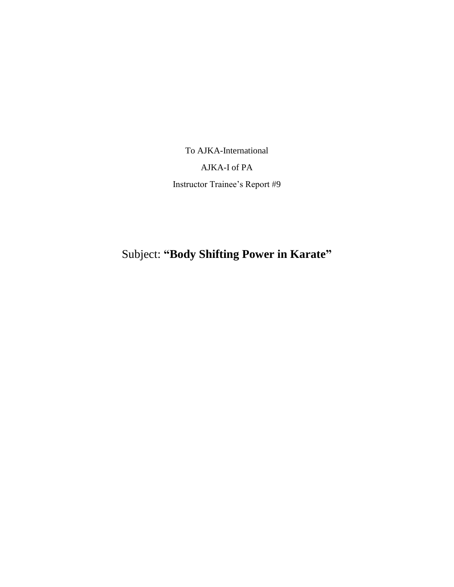To AJKA-International

AJKA-I of PA

Instructor Trainee's Report #9

Subject: **"Body Shifting Power in Karate"**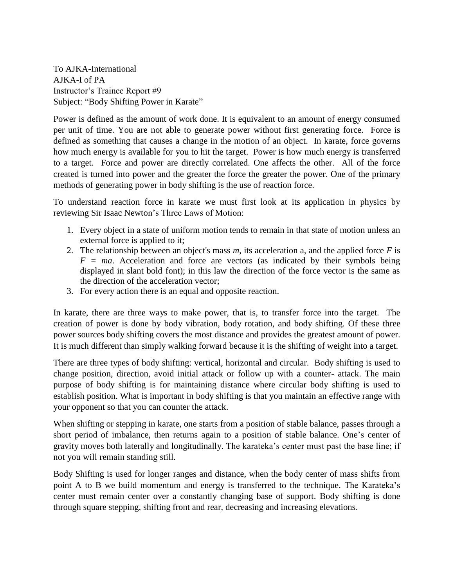To AJKA-International AJKA-I of PA Instructor's Trainee Report #9 Subject: "Body Shifting Power in Karate"

Power is defined as the amount of work done. It is equivalent to an amount of energy consumed per unit of time. You are not able to generate power without first generating force. Force is defined as something that causes a change in the motion of an object. In karate, force governs how much energy is available for you to hit the target. Power is how much energy is transferred to a target. Force and power are directly correlated. One affects the other. All of the force created is turned into power and the greater the force the greater the power. One of the primary methods of generating power in body shifting is the use of reaction force.

To understand reaction force in karate we must first look at its application in physics by reviewing Sir Isaac Newton's Three Laws of Motion:

- 1. Every object in a state of uniform motion tends to remain in that state of motion unless an external force is applied to it;
- 2. The relationship between an object's mass  $m$ , its acceleration a, and the applied force  $F$  is  $F = ma$ . Acceleration and force are vectors (as indicated by their symbols being displayed in slant bold font); in this law the direction of the force vector is the same as the direction of the acceleration vector;
- 3. For every action there is an equal and opposite reaction.

In karate, there are three ways to make power, that is, to transfer force into the target. The creation of power is done by body vibration, body rotation, and body shifting. Of these three power sources body shifting covers the most distance and provides the greatest amount of power. It is much different than simply walking forward because it is the shifting of weight into a target.

There are three types of body shifting: vertical, horizontal and circular. Body shifting is used to change position, direction, avoid initial attack or follow up with a counter- attack. The main purpose of body shifting is for maintaining distance where circular body shifting is used to establish position. What is important in body shifting is that you maintain an effective range with your opponent so that you can counter the attack.

When shifting or stepping in karate, one starts from a position of stable balance, passes through a short period of imbalance, then returns again to a position of stable balance. One's center of gravity moves both laterally and longitudinally. The karateka's center must past the base line; if not you will remain standing still.

Body Shifting is used for longer ranges and distance, when the body center of mass shifts from point A to B we build momentum and energy is transferred to the technique. The Karateka's center must remain center over a constantly changing base of support. Body shifting is done through square stepping, shifting front and rear, decreasing and increasing elevations.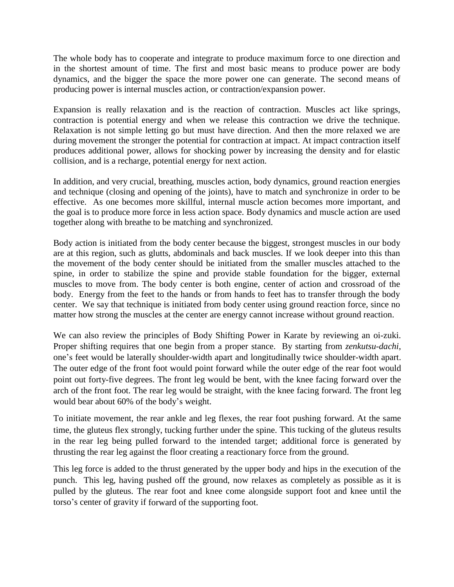The whole body has to cooperate and integrate to produce maximum force to one direction and in the shortest amount of time. The first and most basic means to produce power are body dynamics, and the bigger the space the more power one can generate. The second means of producing power is internal muscles action, or contraction/expansion power.

Expansion is really relaxation and is the reaction of contraction. Muscles act like springs, contraction is potential energy and when we release this contraction we drive the technique. Relaxation is not simple letting go but must have direction. And then the more relaxed we are during movement the stronger the potential for contraction at impact. At impact contraction itself produces additional power, allows for shocking power by increasing the density and for elastic collision, and is a recharge, potential energy for next action.

In addition, and very crucial, breathing, muscles action, body dynamics, ground reaction energies and technique (closing and opening of the joints), have to match and synchronize in order to be effective. As one becomes more skillful, internal muscle action becomes more important, and the goal is to produce more force in less action space. Body dynamics and muscle action are used together along with breathe to be matching and synchronized.

Body action is initiated from the body center because the biggest, strongest muscles in our body are at this region, such as glutts, abdominals and back muscles. If we look deeper into this than the movement of the body center should be initiated from the smaller muscles attached to the spine, in order to stabilize the spine and provide stable foundation for the bigger, external muscles to move from. The body center is both engine, center of action and crossroad of the body. Energy from the feet to the hands or from hands to feet has to transfer through the body center. We say that technique is initiated from body center using ground reaction force, since no matter how strong the muscles at the center are energy cannot increase without ground reaction.

We can also review the principles of Body Shifting Power in Karate by reviewing an oi-zuki. Proper shifting requires that one begin from a proper stance. By starting from *zenkutsu-dachi*, one's feet would be laterally shoulder-width apart and longitudinally twice shoulder-width apart. The outer edge of the front foot would point forward while the outer edge of the rear foot would point out forty-five degrees. The front leg would be bent, with the knee facing forward over the arch of the front foot. The rear leg would be straight, with the knee facing forward. The front leg would bear about 60% of the body's weight.

To initiate movement, the rear ankle and leg flexes, the rear foot pushing forward. At the same time, the gluteus flex strongly, tucking further under the spine. This tucking of the gluteus results in the rear leg being pulled forward to the intended target; additional force is generated by thrusting the rear leg against the floor creating a reactionary force from the ground.

This leg force is added to the thrust generated by the upper body and hips in the execution of the punch. This leg, having pushed off the ground, now relaxes as completely as possible as it is pulled by the gluteus. The rear foot and knee come alongside support foot and knee until the torso's center of gravity if forward of the supporting foot.